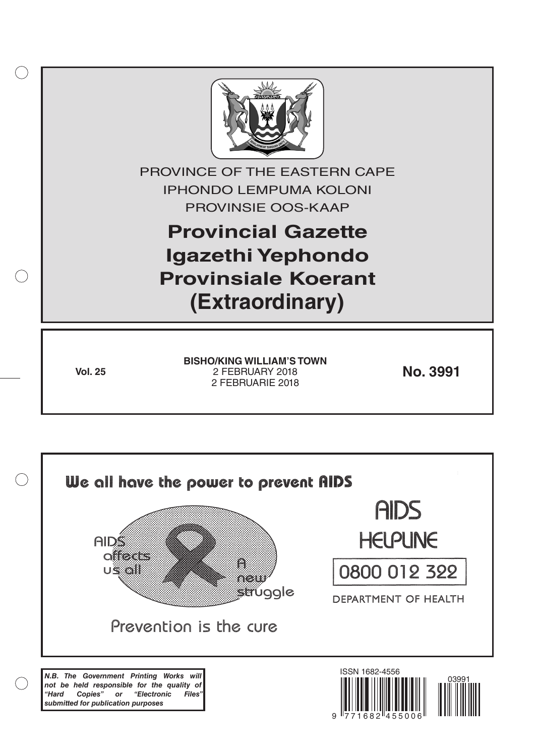

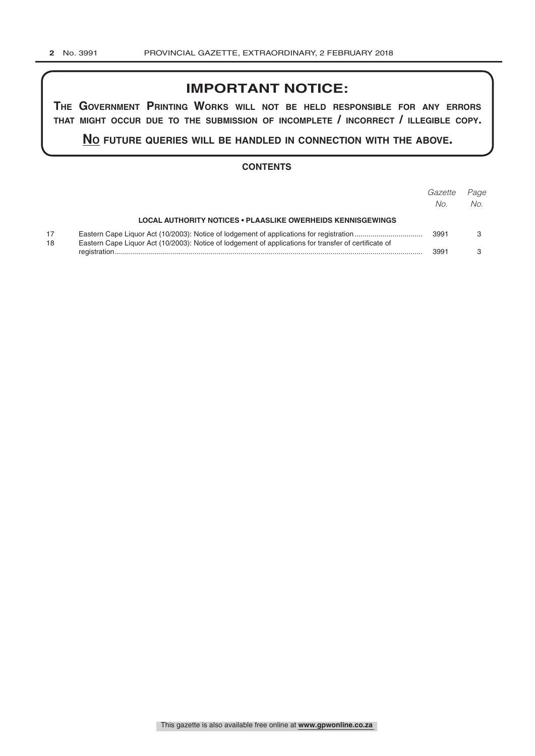# **IMPORTANT NOTICE:**

**The GovernmenT PrinTinG Works Will noT be held resPonsible for any errors ThaT miGhT occur due To The submission of incomPleTe / incorrecT / illeGible coPy.**

**no fuTure queries Will be handled in connecTion WiTh The above.**

# **CONTENTS**

|          |                                                                                                       | Gazette<br>No. | Page<br>No. |
|----------|-------------------------------------------------------------------------------------------------------|----------------|-------------|
|          | <b>LOCAL AUTHORITY NOTICES • PLAASLIKE OWERHEIDS KENNISGEWINGS</b>                                    |                |             |
| 17<br>18 | Eastern Cape Liquor Act (10/2003): Notice of lodgement of applications for transfer of certificate of | 3991           |             |
|          |                                                                                                       | 3991           |             |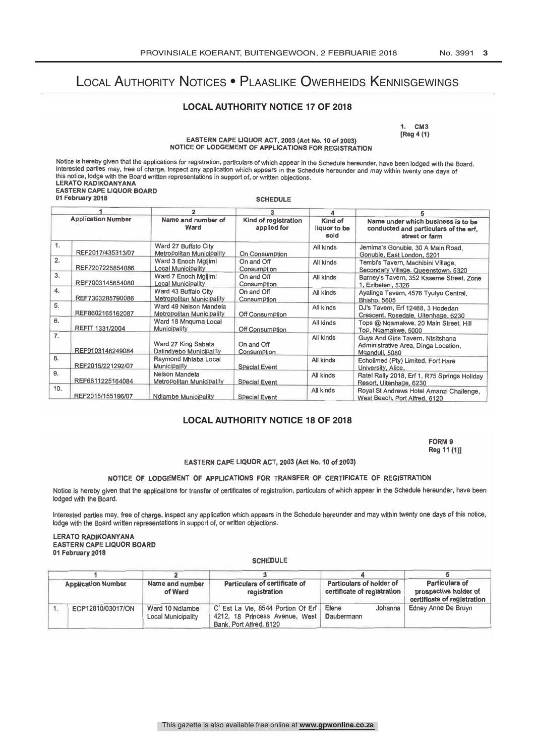# Local Authority Notices • Plaaslike Owerheids Kennisgewings

## **LOCAL AUTHORITY NOTICE 17 OF 2018**

1. CM3 [Reg 4 (1)

### EASTERN CAPE LIQUOR ACT, 2003 (Act No. 10 of 2003) NOTICE OF LODGEMENT OF APPLICATIONS FOR REGISTRATION

Notice is hereby given that the applications for registration, particulars of which appear in the Schedule hereunder, have been lodged with the Board. Interested parties may, free of charge, inspect any application which appears in the Schedule hereunder and may within twenty one days of this notice, lodge with the Board written representations in support of, or written objections. LERATO RADIKOANYANA EASTERN CAPE LIQUOR BOARD 01 February 2018 **SCHEDULE** 

|                           |                   |                                                                   | 3                         |                                 |                                                                                               |  |
|---------------------------|-------------------|-------------------------------------------------------------------|---------------------------|---------------------------------|-----------------------------------------------------------------------------------------------|--|
| <b>Application Number</b> |                   | Name and number of<br>Kind of registration<br>Ward<br>applied for |                           | Kind of<br>liquor to be<br>sold | Name under which business is to be<br>conducted and particulars of the erf,<br>street or farm |  |
| 1.                        | REF2017/435313/07 | Ward 27 Buffalo City<br>Metropolitan Municipality                 | On Consumption            | All kinds                       | Jemima's Gonubie, 30 A Main Road,<br>Gonubie, East London, 5201                               |  |
| 2.                        | REF7207225854086  | Ward 3 Enoch Mgijimi<br><b>Local Municipality</b>                 | On and Off<br>Consumption | All kinds                       | Tembi's Tavern, Machibini Village,<br>Secondary Village, Queenstown, 5320                     |  |
| 3.                        | REF7003145654080  | Ward 7 Enoch Mgijimi<br>Local Municipality                        | On and Off<br>Consumption | All kinds                       | Barney's Tavern, 352 Kaseme Street, Zone<br>1, Ezibeleni, 5326                                |  |
| 4.                        | REF7303285790086  | Ward 43 Buffalo City<br>Metropolitan Municipality                 | On and Off<br>Consumption | All kinds                       | Ayalinga Tavern, 4576 Tyutyu Central,<br>Bhisho, 5605                                         |  |
| 5.                        | REF8602165162087  | Ward 49 Nelson Mandela<br>Metropolitan Municipality               | Off Consumption           | All kinds                       | DJ's Tavern, Erf 12468, 3 Hodedan<br>Crescent, Rosedale, Uitenhage, 6230                      |  |
| 6.                        | REFIT 1331/2004   | Ward 18 Mnguma Local<br>Municipality                              | Off Consumption           | All kinds                       | Tops @ Ngamakwe, 20 Main Street, Hill<br>Top, Ngamakwe, 5000                                  |  |
| 7.                        | REF9103146249084  | Ward 27 King Sabata<br>Dalindyebo Municipality                    | On and Off<br>Consumption | All kinds                       | Guys And Girls Tavern, Ntsitshana<br>Administrative Area, Dinga Location,<br>Mganduli, 5080   |  |
| 8.                        | REF2015/221292/07 | Raymond Mhlaba Local<br>Municipality                              | <b>Special Event</b>      | All kinds                       | Echolimed (Pty) Limited, Fort Hare<br>University, Alice,                                      |  |
| 9.                        | REF6611225164084  | Nelson Mandela<br><b>Metropolitan Municipality</b>                | <b>Special Event</b>      | All kinds                       | Ratel Rally 2018, Erf 1, R75 Springs Holiday<br>Resort, Uitenhage, 6230                       |  |
| 10.                       | REF2015/155196/07 | Ndlambe Municipality                                              | Special Event             | All kinds                       | Royal St Andrews Hotel Amanzi Challenge,<br>West Beach, Port Alfred, 6120                     |  |

# **LOCAL AUTHORITY NOTICE 18 OF 2018**

FORM 9<br>For 44.409 Reg 11 (1)]

#### EASTERN CAPE LIQUOR ACT, 2003 (Act No. 10 of 2003)

### NOTICE OF LODGEMENT OF APPLICATIONS FOR TRANSFER OF CERTIFICATE OF REGISTRATION

Notice is hereby given that the applications for transfer of certificates of registration, particulars of which appear in the Schedule hereunder, have been lodged with the Board.

Interested parties may, free of charge, inspect any application which appears in the Schedule hereunder and may within twenty one days of this notice, lodge with the Board written representations in support of, or written objections.

#### LERATO RADIKOANYANA EASTERN CAPE LIQUOR BOARD 01 February 2018

#### **SCHEDULE**

| <b>Application Number</b> |                   | Particulars of certificate of<br>Name and number<br>of Ward<br>registration |                                                                                                 |                                                         | <b>Particulars of</b><br>prospective holder of<br>certificate of registration |
|---------------------------|-------------------|-----------------------------------------------------------------------------|-------------------------------------------------------------------------------------------------|---------------------------------------------------------|-------------------------------------------------------------------------------|
|                           |                   |                                                                             |                                                                                                 | Particulars of holder of<br>certificate of registration |                                                                               |
|                           | ECP12810/03017/ON | Ward 10 Ndlambe<br><b>Local Municipality</b>                                | C' Est La Vie, 8544 Portion Of Erf<br>4212, 18 Princess Avenue, West<br>Bank, Port Alfred, 6120 | Elene<br>Johanna<br>Daubermann                          | Edney Anne De Bruyn                                                           |